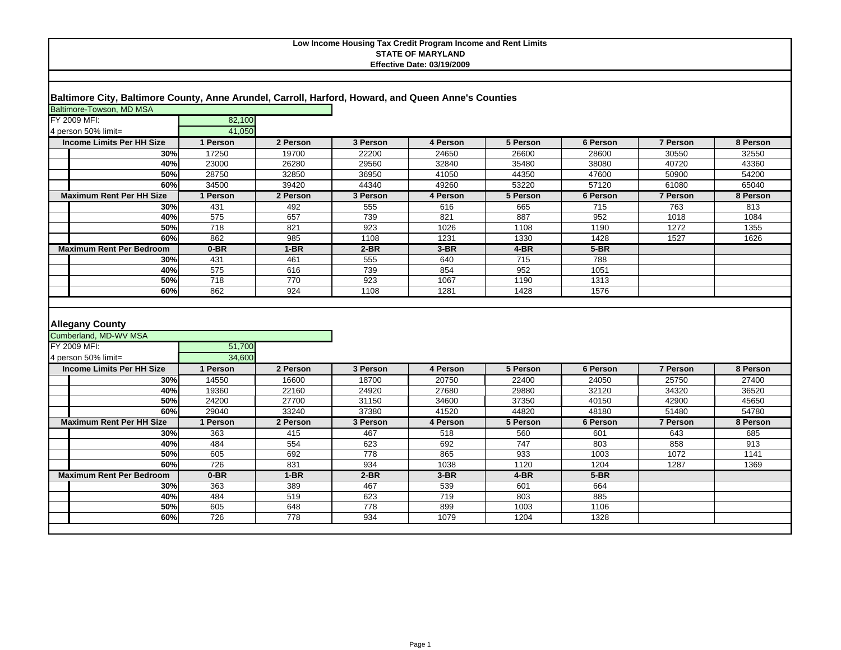## **Baltimore City, Baltimore County, Anne Arundel, Carroll, Harford, Howard, and Queen Anne's Counties**

| Baltimore-Towson, MD MSA<br>FY 2009 MFI:                        | 82,100           |            |            |             |             |              |              |              |
|-----------------------------------------------------------------|------------------|------------|------------|-------------|-------------|--------------|--------------|--------------|
| 4 person 50% limit=                                             | 41.050           |            |            |             |             |              |              |              |
| <b>Income Limits Per HH Size</b>                                | 1 Person         | 2 Person   | 3 Person   | 4 Person    | 5 Person    | 6 Person     | 7 Person     | 8 Person     |
| 30%                                                             | 17250            | 19700      | 22200      | 24650       | 26600       | 28600        | 30550        | 32550        |
| 40%                                                             | 23000            | 26280      | 29560      | 32840       | 35480       | 38080        | 40720        | 43360        |
| 50%                                                             | 28750            | 32850      | 36950      | 41050       | 44350       | 47600        | 50900        | 54200        |
| 60%                                                             | 34500            | 39420      | 44340      | 49260       | 53220       | 57120        | 61080        | 65040        |
| <b>Maximum Rent Per HH Size</b>                                 | 1 Person         | 2 Person   | 3 Person   | 4 Person    | 5 Person    | 6 Person     | 7 Person     | 8 Person     |
| 30%                                                             | 431              | 492        | 555        | 616         | 665         | 715          | 763          | 813          |
| 40%                                                             | 575              | 657        | 739        | 821         | 887         | 952          | 1018         | 1084         |
| 50%                                                             | 718              | 821        | 923        | 1026        | 1108        | 1190         | 1272         | 1355         |
| 60%                                                             | 862              | 985        | 1108       | 1231        | 1330        | 1428         | 1527         | 1626         |
| <b>Maximum Rent Per Bedroom</b>                                 | $0-BR$           | $1-BR$     | $2-BR$     | $3-BR$      | 4-BR        | $5-BR$       |              |              |
| 30%                                                             | 431              | 461        | 555        | 640         | 715         | 788          |              |              |
| 40%                                                             | 575              | 616        | 739        | 854         | 952         | 1051         |              |              |
| 50%                                                             | $\overline{718}$ | 770        | 923        | 1067        | 1190        | 1313         |              |              |
| 60%                                                             | 862              | 924        | 1108       | 1281        | 1428        | 1576         |              |              |
|                                                                 |                  |            |            |             |             |              |              |              |
| <b>Allegany County</b><br>Cumberland, MD-WV MSA<br>FY 2009 MFI: | 51,700           |            |            |             |             |              |              |              |
| 4 person 50% limit=                                             | 34.600           |            |            |             |             |              |              |              |
| <b>Income Limits Per HH Size</b>                                | 1 Person         | 2 Person   | 3 Person   | 4 Person    | 5 Person    | 6 Person     | 7 Person     | 8 Person     |
| 30%                                                             | 14550            | 16600      | 18700      | 20750       | 22400       | 24050        | 25750        | 27400        |
| 40%                                                             | 19360            | 22160      | 24920      | 27680       | 29880       | 32120        | 34320        | 36520        |
| 50%                                                             | 24200            | 27700      | 31150      | 34600       | 37350       | 40150        | 42900        | 45650        |
| 60%                                                             | 29040            | 33240      | 37380      | 41520       | 44820       | 48180        | 51480        | 54780        |
| <b>Maximum Rent Per HH Size</b>                                 | 1 Person         | 2 Person   | 3 Person   | 4 Person    | 5 Person    | 6 Person     | 7 Person     | 8 Person     |
| 30%                                                             | 363              | 415        | 467        | 518         | 560         | 601          | 643          | 685          |
| 40%                                                             | 484              | 554        | 623        | 692         | 747         | 803          | 858          | 913          |
| 50%<br>60%                                                      | 605<br>726       | 692<br>831 | 778<br>934 | 865<br>1038 | 933<br>1120 | 1003<br>1204 | 1072<br>1287 | 1141<br>1369 |
| <b>Maximum Rent Per Bedroom</b>                                 | $0-BR$           | $1-BR$     | $2-BR$     | $3-BR$      | 4-BR        | $5-BR$       |              |              |
| 30%                                                             | 363              | 389        | 467        | 539         | 601         | 664          |              |              |
| 40%                                                             | 484              | 519        | 623        | 719         | 803         | 885          |              |              |
| 50%                                                             | 605              | 648        | 778        | 899         | 1003        | 1106         |              |              |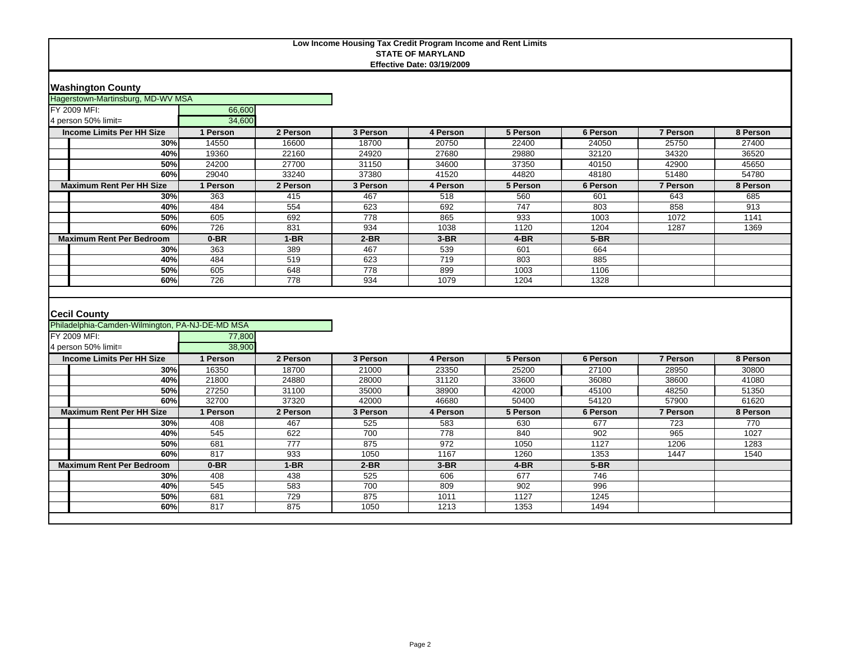|                                                 |          |          | Low Income Housing Tax Credit Program Income and Rent Limits | <b>STATE OF MARYLAND</b>          |                  |          |                 |          |
|-------------------------------------------------|----------|----------|--------------------------------------------------------------|-----------------------------------|------------------|----------|-----------------|----------|
|                                                 |          |          |                                                              | <b>Effective Date: 03/19/2009</b> |                  |          |                 |          |
|                                                 |          |          |                                                              |                                   |                  |          |                 |          |
| <b>Washington County</b>                        |          |          |                                                              |                                   |                  |          |                 |          |
| Hagerstown-Martinsburg, MD-WV MSA               |          |          |                                                              |                                   |                  |          |                 |          |
| FY 2009 MFI:                                    | 66,600   |          |                                                              |                                   |                  |          |                 |          |
| 4 person 50% limit=                             | 34,600   |          |                                                              |                                   |                  |          |                 |          |
| <b>Income Limits Per HH Size</b>                | 1 Person | 2 Person | 3 Person                                                     | 4 Person                          | 5 Person         | 6 Person | 7 Person        | 8 Person |
| 30%                                             | 14550    | 16600    | 18700                                                        | 20750                             | 22400            | 24050    | 25750           | 27400    |
| 40%                                             | 19360    | 22160    | 24920                                                        | 27680                             | 29880            | 32120    | 34320           | 36520    |
| 50%                                             | 24200    | 27700    | 31150                                                        | 34600                             | 37350            | 40150    | 42900           | 45650    |
| 60%                                             | 29040    | 33240    | 37380                                                        | 41520                             | 44820            | 48180    | 51480           | 54780    |
| <b>Maximum Rent Per HH Size</b>                 | 1 Person | 2 Person | 3 Person                                                     | 4 Person                          | 5 Person         | 6 Person | 7 Person        | 8 Person |
| 30%                                             | 363      | 415      | 467                                                          | 518                               | 560              | 601      | 643             | 685      |
| 40%                                             | 484      | 554      | 623                                                          | 692                               | $\overline{747}$ | 803      | 858             | 913      |
| 50%                                             | 605      | 692      | 778                                                          | 865                               | 933              | 1003     | 1072            | 1141     |
| 60%                                             | 726      | 831      | 934                                                          | 1038                              | 1120             | 1204     | 1287            | 1369     |
| <b>Maximum Rent Per Bedroom</b>                 | $0-BR$   | $1-BR$   | $2-BR$                                                       | $3-BR$                            | $4-BR$           | $5-BR$   |                 |          |
| 30%                                             | 363      | 389      | 467                                                          | 539                               | 601              | 664      |                 |          |
| 40%                                             | 484      | 519      | 623                                                          | 719                               | 803              | 885      |                 |          |
| 50%                                             | 605      | 648      | 778                                                          | 899                               | 1003             | 1106     |                 |          |
| 60%                                             | 726      | 778      | 934                                                          | 1079                              | 1204             | 1328     |                 |          |
|                                                 |          |          |                                                              |                                   |                  |          |                 |          |
|                                                 |          |          |                                                              |                                   |                  |          |                 |          |
| <b>Cecil County</b>                             |          |          |                                                              |                                   |                  |          |                 |          |
| Philadelphia-Camden-Wilmington, PA-NJ-DE-MD MSA |          |          |                                                              |                                   |                  |          |                 |          |
| FY 2009 MFI:                                    | 77,800   |          |                                                              |                                   |                  |          |                 |          |
| 4 person 50% limit=                             | 38.900   |          |                                                              |                                   |                  |          |                 |          |
| <b>Income Limits Per HH Size</b>                | 1 Person | 2 Person | 3 Person                                                     | 4 Person                          | 5 Person         | 6 Person | <b>7 Person</b> | 8 Person |
| 30%                                             | 16350    | 18700    | 21000                                                        | 23350                             | 25200            | 27100    | 28950           | 30800    |
| 40%                                             | 21800    | 24880    | 28000                                                        | 31120                             | 33600            | 36080    | 38600           | 41080    |
| 50%                                             | 27250    | 31100    | 35000                                                        | 38900                             | 42000            | 45100    | 48250           | 51350    |
| 60%                                             | 32700    | 37320    | 42000                                                        | 46680                             | 50400            | 54120    | 57900           | 61620    |
| <b>Maximum Rent Per HH Size</b>                 | 1 Person | 2 Person | 3 Person                                                     | 4 Person                          | 5 Person         | 6 Person | <b>7 Person</b> | 8 Person |
| 30%                                             | 408      | 467      | 525                                                          | 583                               | 630              | 677      | 723             | 770      |
| 40%                                             | 545      | 622      | 700                                                          | 778                               | 840              | 902      | 965             | 1027     |
| 50%                                             | 681      | 777      | 875                                                          | 972                               | 1050             | 1127     | 1206            | 1283     |
| 60%                                             | 817      | 933      | 1050                                                         | 1167                              | 1260             | 1353     | 1447            | 1540     |
| <b>Maximum Rent Per Bedroom</b>                 | $0-BR$   | $1-BR$   | $2-BR$                                                       | $3-BR$                            | $4-BR$           | $5-BR$   |                 |          |
| 30%                                             | 408      | 438      | 525                                                          | 606                               | 677              | 746      |                 |          |
| 40%                                             | 545      | 583      | 700                                                          | 809                               | 902              | 996      |                 |          |
| 50%                                             | 681      | 729      | 875                                                          | 1011                              | 1127             | 1245     |                 |          |
| 60%                                             | 817      | 875      | 1050                                                         | 1213                              | 1353             | 1494     |                 |          |
|                                                 |          |          |                                                              |                                   |                  |          |                 |          |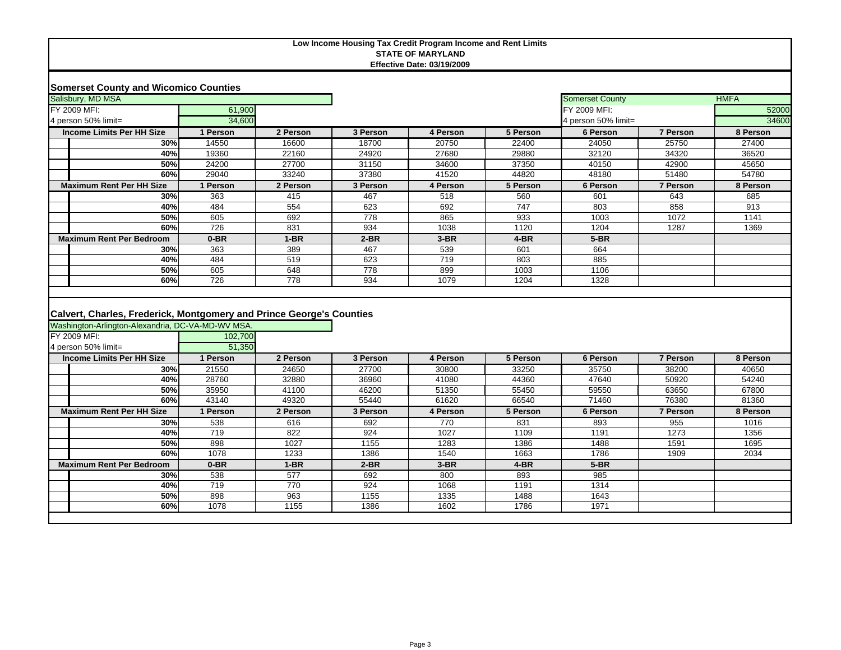# **Low Income Housing Tax Credit Program Income and Rent Limits STATE OF MARYLAND**

| Salisbury, MD MSA                                                    |              |               |               |              |           | <b>Somerset County</b> |                 | <b>HMFA</b> |  |
|----------------------------------------------------------------------|--------------|---------------|---------------|--------------|-----------|------------------------|-----------------|-------------|--|
| FY 2009 MFI:                                                         | 61,900       |               |               |              |           | FY 2009 MFI:           |                 | 52000       |  |
| 4 person 50% limit=                                                  | 34,600       |               |               |              |           | 4 person 50% limit=    |                 | 34600       |  |
| <b>Income Limits Per HH Size</b>                                     | 1 Person     | 2 Person      | 3 Person      | 4 Person     | 5 Person  | 6 Person               | <b>7 Person</b> | 8 Person    |  |
| 30%                                                                  | 14550        | 16600         | 18700         | 20750        | 22400     | 24050                  | 25750           | 27400       |  |
| 40%                                                                  | 19360        | 22160         | 24920         | 27680        | 29880     | 32120                  | 34320           | 36520       |  |
| 50%                                                                  | 24200        | 27700         | 31150         | 34600        | 37350     | 40150                  | 42900           | 45650       |  |
| 60%                                                                  | 29040        | 33240         | 37380         | 41520        | 44820     | 48180                  | 51480           | 54780       |  |
| <b>Maximum Rent Per HH Size</b>                                      | 1 Person     | 2 Person      | 3 Person      | 4 Person     | 5 Person  | 6 Person               | 7 Person        | 8 Person    |  |
| 30%                                                                  | 363          | 415           | 467           | 518          | 560       | 601                    | 643             | 685         |  |
| 40%                                                                  | 484          | 554           | 623           | 692          | 747       | 803                    | 858             | 913         |  |
| 50%                                                                  | 605          | 692           | 778           | 865          | 933       | 1003                   | 1072            | 1141        |  |
| 60%                                                                  | 726          | 831           | 934           | 1038         | 1120      | 1204                   | 1287            | 1369        |  |
| <b>Maximum Rent Per Bedroom</b>                                      | $0 - BR$     | $1-BR$        | $2-BR$        | $3-BR$       | $4-BR$    | $5-BR$                 |                 |             |  |
| 30%                                                                  | 363          | 389           | 467           | 539          | 601       | 664                    |                 |             |  |
| 40%                                                                  | 484          | 519           | 623           | 719          | 803       | 885                    |                 |             |  |
| 50%                                                                  | 605          | 648           | 778           | 899          | 1003      | 1106                   |                 |             |  |
| 60%                                                                  | 726          | 778           | 934           | 1079         | 1204      | 1328                   |                 |             |  |
|                                                                      |              |               |               |              |           |                        |                 |             |  |
|                                                                      |              |               |               |              |           |                        |                 |             |  |
| Calvert, Charles, Frederick, Montgomery and Prince George's Counties |              |               |               |              |           |                        |                 |             |  |
| Washington-Arlington-Alexandria, DC-VA-MD-WV MSA.                    |              |               |               |              |           |                        |                 |             |  |
| FY 2009 MFI:                                                         | 102,700      |               |               |              |           |                        |                 |             |  |
| 4 person 50% limit=                                                  | 51,350       |               |               |              |           |                        |                 |             |  |
| <b>Theoretical inside Devilli Cips</b>                               | $4$ Developm | $Q$ Developed | $2$ Developed | $A$ Develope | $E$ Davas | $C$ Development        | 702222          | 0.5         |  |

| Income Limits Per HH Size       | 1 Person | 2 Person | 3 Person | 4 Person | 5 Person | 6 Person | 7 Person | 8 Person |
|---------------------------------|----------|----------|----------|----------|----------|----------|----------|----------|
| 30%                             | 21550    | 24650    | 27700    | 30800    | 33250    | 35750    | 38200    | 40650    |
| 40%                             | 28760    | 32880    | 36960    | 41080    | 44360    | 47640    | 50920    | 54240    |
| 50%                             | 35950    | 41100    | 46200    | 51350    | 55450    | 59550    | 63650    | 67800    |
| 60%                             | 43140    | 49320    | 55440    | 61620    | 66540    | 71460    | 76380    | 81360    |
| <b>Maximum Rent Per HH Size</b> | 1 Person | 2 Person | 3 Person | 4 Person | 5 Person | 6 Person | 7 Person | 8 Person |
| 30%                             | 538      | 616      | 692      | 770      | 831      | 893      | 955      | 1016     |
| 40%                             | 719      | 822      | 924      | 1027     | 1109     | 1191     | 1273     | 1356     |
| 50%                             | 898      | 1027     | 1155     | 1283     | 1386     | 1488     | 1591     | 1695     |
| 60%                             | 1078     | 1233     | 1386     | 1540     | 1663     | 1786     | 1909     | 2034     |
| <b>Maximum Rent Per Bedroom</b> | $0-BR$   | 1-BR     | $2-BR$   | $3-BR$   | $4-BR$   | $5-BR$   |          |          |
| 30%                             | 538      | 577      | 692      | 800      | 893      | 985      |          |          |
| 40%                             | 719      | 770      | 924      | 1068     | 1191     | 1314     |          |          |
| 50%                             | 898      | 963      | 1155     | 1335     | 1488     | 1643     |          |          |
| 60%                             | 1078     | 1155     | 1386     | 1602     | 1786     | 1971     |          |          |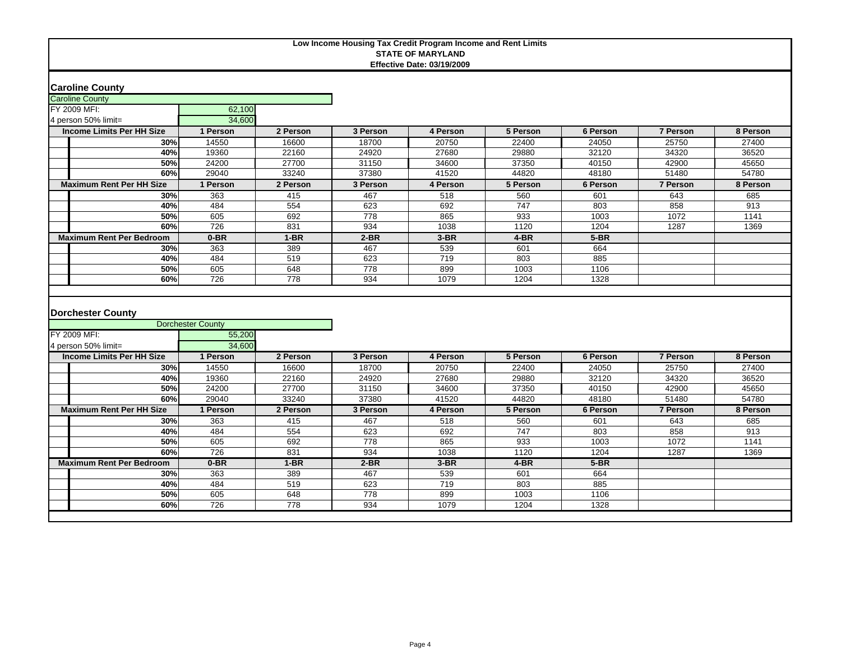### **Caroline County**

| <b>Caroline County</b>           |          |          |          |          |          |          |          |          |
|----------------------------------|----------|----------|----------|----------|----------|----------|----------|----------|
| FY 2009 MFI:                     | 62,100   |          |          |          |          |          |          |          |
| 4 person 50% limit=              | 34,600   |          |          |          |          |          |          |          |
| <b>Income Limits Per HH Size</b> | 1 Person | 2 Person | 3 Person | 4 Person | 5 Person | 6 Person | 7 Person | 8 Person |
| 30%                              | 14550    | 16600    | 18700    | 20750    | 22400    | 24050    | 25750    | 27400    |
| 40%                              | 19360    | 22160    | 24920    | 27680    | 29880    | 32120    | 34320    | 36520    |
| 50%                              | 24200    | 27700    | 31150    | 34600    | 37350    | 40150    | 42900    | 45650    |
| 60%                              | 29040    | 33240    | 37380    | 41520    | 44820    | 48180    | 51480    | 54780    |
| <b>Maximum Rent Per HH Size</b>  | l Person | 2 Person | 3 Person | 4 Person | 5 Person | 6 Person | 7 Person | 8 Person |
| 30%                              | 363      | 415      | 467      | 518      | 560      | 601      | 643      | 685      |
| 40%                              | 484      | 554      | 623      | 692      | 747      | 803      | 858      | 913      |
| 50%                              | 605      | 692      | 778      | 865      | 933      | 1003     | 1072     | 1141     |
| 60%                              | 726      | 831      | 934      | 1038     | 1120     | 1204     | 1287     | 1369     |
| <b>Maximum Rent Per Bedroom</b>  | $0-BR$   | $1-BR$   | $2-BR$   | $3-BR$   | $4-BR$   | $5-BR$   |          |          |
| 30%                              | 363      | 389      | 467      | 539      | 601      | 664      |          |          |
| 40%                              | 484      | 519      | 623      | 719      | 803      | 885      |          |          |
| 50%                              | 605      | 648      | 778      | 899      | 1003     | 1106     |          |          |
| 60%                              | 726      | 778      | 934      | 1079     | 1204     | 1328     |          |          |

### **Dorchester County**

|                                  | <b>Dorchester County</b> |          |          |          |          |          |          |          |
|----------------------------------|--------------------------|----------|----------|----------|----------|----------|----------|----------|
| FY 2009 MFI:                     | 55,200                   |          |          |          |          |          |          |          |
| 4 person 50% limit=              | 34,600                   |          |          |          |          |          |          |          |
| <b>Income Limits Per HH Size</b> | 1 Person                 | 2 Person | 3 Person | 4 Person | 5 Person | 6 Person | 7 Person | 8 Person |
| 30%                              | 14550                    | 16600    | 18700    | 20750    | 22400    | 24050    | 25750    | 27400    |
| 40%                              | 19360                    | 22160    | 24920    | 27680    | 29880    | 32120    | 34320    | 36520    |
| 50%                              | 24200                    | 27700    | 31150    | 34600    | 37350    | 40150    | 42900    | 45650    |
| 60%                              | 29040                    | 33240    | 37380    | 41520    | 44820    | 48180    | 51480    | 54780    |
| <b>Maximum Rent Per HH Size</b>  | 1 Person                 | 2 Person | 3 Person | 4 Person | 5 Person | 6 Person | 7 Person | 8 Person |
| 30%                              | 363                      | 415      | 467      | 518      | 560      | 601      | 643      | 685      |
| 40%                              | 484                      | 554      | 623      | 692      | 747      | 803      | 858      | 913      |
| 50%                              | 605                      | 692      | 778      | 865      | 933      | 1003     | 1072     | 1141     |
| 60%                              | 726                      | 831      | 934      | 1038     | 1120     | 1204     | 1287     | 1369     |
| <b>Maximum Rent Per Bedroom</b>  | $0-BR$                   | $1-BR$   | $2-BR$   | $3-BR$   | $4-BR$   | $5-BR$   |          |          |
| 30%                              | 363                      | 389      | 467      | 539      | 601      | 664      |          |          |
| 40%                              | 484                      | 519      | 623      | 719      | 803      | 885      |          |          |
| 50%                              | 605                      | 648      | 778      | 899      | 1003     | 1106     |          |          |
| 60%                              | 726                      | 778      | 934      | 1079     | 1204     | 1328     |          |          |
|                                  |                          |          |          |          |          |          |          |          |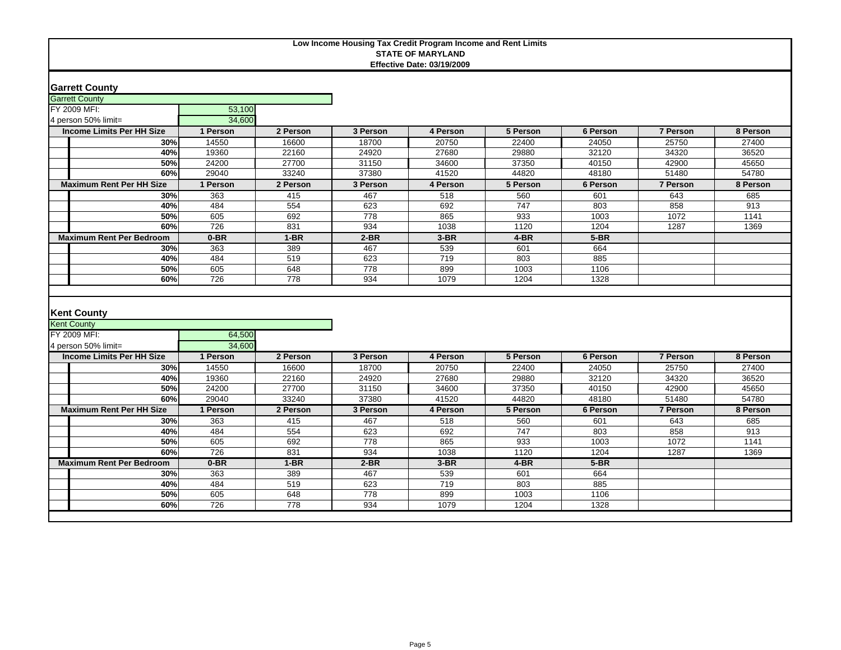### **Garrett County**

| <b>Garrett County</b>            |          |          |          |          |          |          |          |          |
|----------------------------------|----------|----------|----------|----------|----------|----------|----------|----------|
| FY 2009 MFI:                     | 53,100   |          |          |          |          |          |          |          |
| 4 person 50% limit=              | 34,600   |          |          |          |          |          |          |          |
| <b>Income Limits Per HH Size</b> | I Person | 2 Person | 3 Person | 4 Person | 5 Person | 6 Person | 7 Person | 8 Person |
| 30%                              | 14550    | 16600    | 18700    | 20750    | 22400    | 24050    | 25750    | 27400    |
| 40%                              | 19360    | 22160    | 24920    | 27680    | 29880    | 32120    | 34320    | 36520    |
| 50%                              | 24200    | 27700    | 31150    | 34600    | 37350    | 40150    | 42900    | 45650    |
| 60%                              | 29040    | 33240    | 37380    | 41520    | 44820    | 48180    | 51480    | 54780    |
| <b>Maximum Rent Per HH Size</b>  | l Person | 2 Person | 3 Person | 4 Person | 5 Person | 6 Person | 7 Person | 8 Person |
| 30%                              | 363      | 415      | 467      | 518      | 560      | 601      | 643      | 685      |
| 40%                              | 484      | 554      | 623      | 692      | 747      | 803      | 858      | 913      |
| 50%                              | 605      | 692      | 778      | 865      | 933      | 1003     | 1072     | 1141     |
| 60%                              | 726      | 831      | 934      | 1038     | 1120     | 1204     | 1287     | 1369     |
| <b>Maximum Rent Per Bedroom</b>  | $0-BR$   | $1-BR$   | $2-BR$   | $3-BR$   | $4-BR$   | $5-BR$   |          |          |
| 30%                              | 363      | 389      | 467      | 539      | 601      | 664      |          |          |
| 40%                              | 484      | 519      | 623      | 719      | 803      | 885      |          |          |
| 50%                              | 605      | 648      | 778      | 899      | 1003     | 1106     |          |          |
| 60%                              | 726      | 778      | 934      | 1079     | 1204     | 1328     |          |          |
|                                  |          |          |          |          |          |          |          |          |

### **Kent County**

|  | <b>Kent County</b>               |          |          |          |          |          |          |          |          |
|--|----------------------------------|----------|----------|----------|----------|----------|----------|----------|----------|
|  | FY 2009 MFI:                     | 64,500   |          |          |          |          |          |          |          |
|  | 4 person 50% limit=              | 34,600   |          |          |          |          |          |          |          |
|  | <b>Income Limits Per HH Size</b> | l Person | 2 Person | 3 Person | 4 Person | 5 Person | 6 Person | 7 Person | 8 Person |
|  | 30%                              | 14550    | 16600    | 18700    | 20750    | 22400    | 24050    | 25750    | 27400    |
|  | 40%                              | 19360    | 22160    | 24920    | 27680    | 29880    | 32120    | 34320    | 36520    |
|  | 50%                              | 24200    | 27700    | 31150    | 34600    | 37350    | 40150    | 42900    | 45650    |
|  | 60%                              | 29040    | 33240    | 37380    | 41520    | 44820    | 48180    | 51480    | 54780    |
|  | <b>Maximum Rent Per HH Size</b>  | Person   | 2 Person | 3 Person | 4 Person | 5 Person | 6 Person | 7 Person | 8 Person |
|  | 30%                              | 363      | 415      | 467      | 518      | 560      | 601      | 643      | 685      |
|  | 40%                              | 484      | 554      | 623      | 692      | 747      | 803      | 858      | 913      |
|  | 50%                              | 605      | 692      | 778      | 865      | 933      | 1003     | 1072     | 1141     |
|  | 60%                              | 726      | 831      | 934      | 1038     | 1120     | 1204     | 1287     | 1369     |
|  | <b>Maximum Rent Per Bedroom</b>  | $0-BR$   | $1-BR$   | $2-BR$   | $3-BR$   | $4-BR$   | $5-BR$   |          |          |
|  | 30%                              | 363      | 389      | 467      | 539      | 601      | 664      |          |          |
|  | 40%                              | 484      | 519      | 623      | 719      | 803      | 885      |          |          |
|  | 50%                              | 605      | 648      | 778      | 899      | 1003     | 1106     |          |          |
|  | 60%                              | 726      | 778      | 934      | 1079     | 1204     | 1328     |          |          |
|  |                                  |          |          |          |          |          |          |          |          |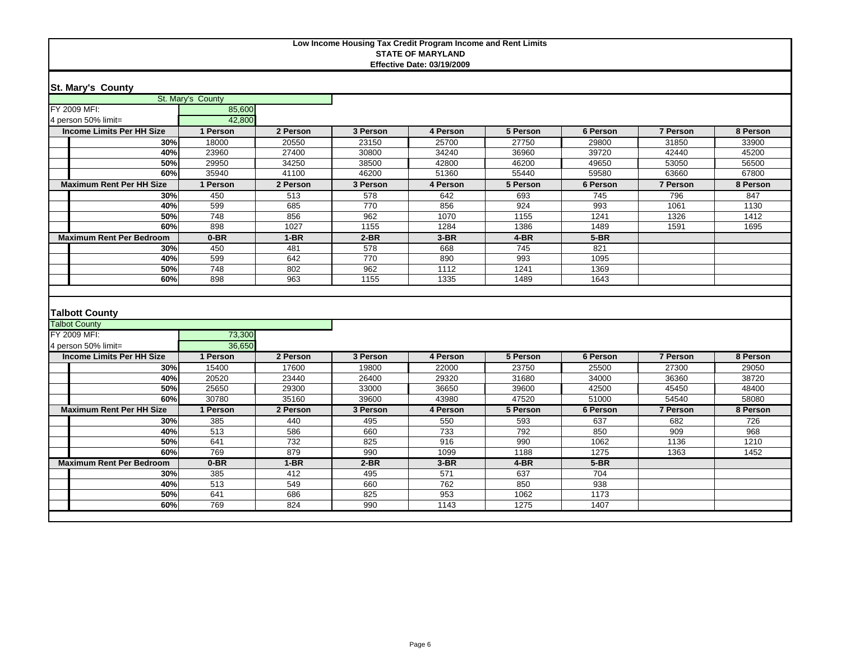#### **St. Mary's County**

|                                               | St. Mary's County |            |            |             |              |              |          |          |
|-----------------------------------------------|-------------------|------------|------------|-------------|--------------|--------------|----------|----------|
| FY 2009 MFI:                                  | 85,600            |            |            |             |              |              |          |          |
| 4 person 50% limit=                           | 42.800            |            |            |             |              |              |          |          |
| <b>Income Limits Per HH Size</b>              | 1 Person          | 2 Person   | 3 Person   | 4 Person    | 5 Person     | 6 Person     | 7 Person | 8 Person |
| 30%                                           | 18000             | 20550      | 23150      | 25700       | 27750        | 29800        | 31850    | 33900    |
| 40%                                           | 23960             | 27400      | 30800      | 34240       | 36960        | 39720        | 42440    | 45200    |
| 50%                                           | 29950             | 34250      | 38500      | 42800       | 46200        | 49650        | 53050    | 56500    |
| 60%                                           | 35940             | 41100      | 46200      | 51360       | 55440        | 59580        | 63660    | 67800    |
| <b>Maximum Rent Per HH Size</b>               | 1 Person          | 2 Person   | 3 Person   | 4 Person    | 5 Person     | 6 Person     | 7 Person | 8 Person |
| 30%                                           | 450               | 513        | 578        | 642         | 693          | 745          | 796      | 847      |
| 40%                                           | 599               | 685        | 770        | 856         | 924          | 993          | 1061     | 1130     |
| 50%                                           | 748               | 856        | 962        | 1070        | 1155         | 1241         | 1326     | 1412     |
| 60%                                           | 898               | 1027       | 1155       | 1284        | 1386         | 1489         | 1591     | 1695     |
| <b>Maximum Rent Per Bedroom</b>               | $0-BR$            | $1-BR$     | $2-BR$     | $3-BR$      | $4-BR$       | $5-BR$       |          |          |
| 30%                                           | 450               | 481        | 578        | 668         | 745          | 821          |          |          |
| 40%                                           | 599               | 642        | 770        | 890         | 993          | 1095         |          |          |
| 50%                                           | 748               | 802        | 962        | 1112        | 1241         | 1369         |          |          |
| 60%                                           | 898               | 963        | 1155       | 1335        | 1489         | 1643         |          |          |
| <b>Talbott County</b><br><b>Talbot County</b> |                   |            |            |             |              |              |          |          |
|                                               |                   |            |            |             |              |              |          |          |
| FY 2009 MFI:                                  | 73,300            |            |            |             |              |              |          |          |
| 4 person 50% limit=                           | 36.650            |            |            |             |              |              |          |          |
| <b>Income Limits Per HH Size</b>              | 1 Person          | 2 Person   | 3 Person   | 4 Person    | 5 Person     | 6 Person     | 7 Person | 8 Person |
| 30%                                           | 15400             | 17600      | 19800      | 22000       | 23750        | 25500        | 27300    | 29050    |
| 40%                                           | 20520             | 23440      | 26400      | 29320       | 31680        | 34000        | 36360    | 38720    |
| 50%                                           | 25650             | 29300      | 33000      | 36650       | 39600        | 42500        | 45450    | 48400    |
| 60%                                           | 30780             | 35160      | 39600      | 43980       | 47520        | 51000        | 54540    | 58080    |
| <b>Maximum Rent Per HH Size</b>               | 1 Person          | 2 Person   | 3 Person   | 4 Person    | 5 Person     | 6 Person     | 7 Person | 8 Person |
| 30%                                           | 385               | 440        | 495        | 550         | 593          | 637          | 682      | 726      |
| 40%                                           | 513               | 586        | 660        | 733         | 792          | 850          | 909      | 968      |
| 50%                                           | 641               | 732        | 825        | 916         | 990          | 1062         | 1136     | 1210     |
| 60%                                           | 769               | 879        | 990        | 1099        | 1188         | 1275         | 1363     | 1452     |
| <b>Maximum Rent Per Bedroom</b>               | $0-BR$            | $1-BR$     | $2-BR$     | $3-BR$      | $4-BR$       | $5-BR$       |          |          |
| 30%                                           | 385               | 412        | 495        | 571         | 637          | 704          |          |          |
| 40%                                           | 513               | 549        | 660        | 762         | 850          | 938          |          |          |
| 50%<br>60%                                    | 641<br>769        | 686<br>824 | 825<br>990 | 953<br>1143 | 1062<br>1275 | 1173<br>1407 |          |          |